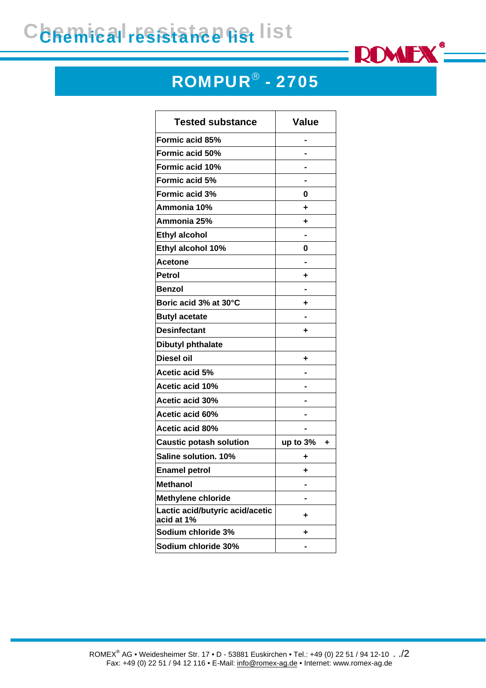## Chemical resistance list



## ROMPUR® - 2705

| <b>Tested substance</b>                       | <b>Value</b>  |
|-----------------------------------------------|---------------|
| Formic acid 85%                               |               |
| Formic acid 50%                               |               |
| Formic acid 10%                               |               |
| <b>Formic acid 5%</b>                         |               |
| Formic acid 3%                                | 0             |
| Ammonia 10%                                   | ٠             |
| Ammonia 25%                                   | ٠             |
| <b>Ethyl alcohol</b>                          |               |
| Ethyl alcohol 10%                             | 0             |
| <b>Acetone</b>                                |               |
| <b>Petrol</b>                                 | ٠             |
| <b>Benzol</b>                                 |               |
| Boric acid 3% at 30°C                         | ٠             |
| <b>Butyl acetate</b>                          |               |
| <b>Desinfectant</b>                           | ٠             |
| <b>Dibutyl phthalate</b>                      |               |
| <b>Diesel oil</b>                             | ٠             |
| Acetic acid 5%                                |               |
| Acetic acid 10%                               |               |
| <b>Acetic acid 30%</b>                        |               |
| Acetic acid 60%                               |               |
| Acetic acid 80%                               |               |
| <b>Caustic potash solution</b>                | up to 3%<br>٠ |
| Saline solution. 10%                          | ٠             |
| <b>Enamel petrol</b>                          | ٠             |
| <b>Methanol</b>                               |               |
| <b>Methylene chloride</b>                     |               |
| Lactic acid/butyric acid/acetic<br>acid at 1% | ٠             |
| Sodium chloride 3%                            | ٠             |
| Sodium chloride 30%                           |               |